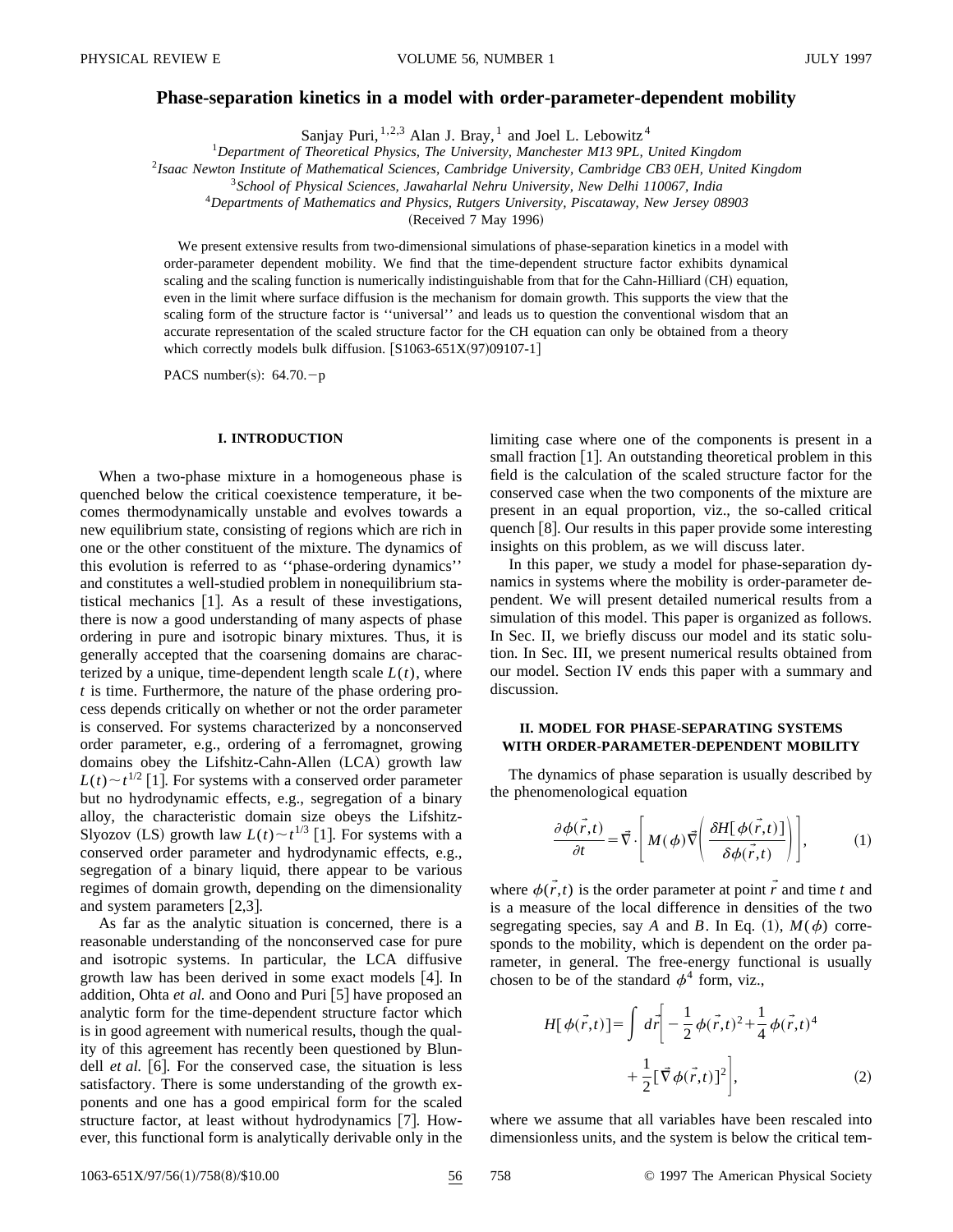#### **Phase-separation kinetics in a model with order-parameter-dependent mobility**

Sanjay Puri,  $1,2,3$  Alan J. Bray,  $1$  and Joel L. Lebowitz  $4$ 

<sup>1</sup>*Department of Theoretical Physics, The University, Manchester M13 9PL, United Kingdom*

<sup>2</sup>*Isaac Newton Institute of Mathematical Sciences, Cambridge University, Cambridge CB3 0EH, United Kingdom*

<sup>3</sup>*School of Physical Sciences, Jawaharlal Nehru University, New Delhi 110067, India*

<sup>4</sup>*Departments of Mathematics and Physics, Rutgers University, Piscataway, New Jersey 08903*

(Received 7 May 1996)

We present extensive results from two-dimensional simulations of phase-separation kinetics in a model with order-parameter dependent mobility. We find that the time-dependent structure factor exhibits dynamical scaling and the scaling function is numerically indistinguishable from that for the Cahn-Hilliard (CH) equation, even in the limit where surface diffusion is the mechanism for domain growth. This supports the view that the scaling form of the structure factor is ''universal'' and leads us to question the conventional wisdom that an accurate representation of the scaled structure factor for the CH equation can only be obtained from a theory which correctly models bulk diffusion.  $[S1063-651X(97)09107-1]$ 

PACS number(s):  $64.70.-p$ 

#### **I. INTRODUCTION**

When a two-phase mixture in a homogeneous phase is quenched below the critical coexistence temperature, it becomes thermodynamically unstable and evolves towards a new equilibrium state, consisting of regions which are rich in one or the other constituent of the mixture. The dynamics of this evolution is referred to as ''phase-ordering dynamics'' and constitutes a well-studied problem in nonequilibrium statistical mechanics  $[1]$ . As a result of these investigations, there is now a good understanding of many aspects of phase ordering in pure and isotropic binary mixtures. Thus, it is generally accepted that the coarsening domains are characterized by a unique, time-dependent length scale  $L(t)$ , where *t* is time. Furthermore, the nature of the phase ordering process depends critically on whether or not the order parameter is conserved. For systems characterized by a nonconserved order parameter, e.g., ordering of a ferromagnet, growing domains obey the Lifshitz-Cahn-Allen (LCA) growth law  $L(t) \sim t^{1/2}$  [1]. For systems with a conserved order parameter but no hydrodynamic effects, e.g., segregation of a binary alloy, the characteristic domain size obeys the Lifshitz-Slyozov (LS) growth law  $L(t) \sim t^{1/3}$  [1]. For systems with a conserved order parameter and hydrodynamic effects, e.g., segregation of a binary liquid, there appear to be various regimes of domain growth, depending on the dimensionality and system parameters  $[2,3]$ .

As far as the analytic situation is concerned, there is a reasonable understanding of the nonconserved case for pure and isotropic systems. In particular, the LCA diffusive growth law has been derived in some exact models  $[4]$ . In addition, Ohta *et al.* and Oono and Puri [5] have proposed an analytic form for the time-dependent structure factor which is in good agreement with numerical results, though the quality of this agreement has recently been questioned by Blundell *et al.* [6]. For the conserved case, the situation is less satisfactory. There is some understanding of the growth exponents and one has a good empirical form for the scaled structure factor, at least without hydrodynamics  $[7]$ . However, this functional form is analytically derivable only in the limiting case where one of the components is present in a small fraction  $[1]$ . An outstanding theoretical problem in this field is the calculation of the scaled structure factor for the conserved case when the two components of the mixture are present in an equal proportion, viz., the so-called critical quench  $\lceil 8 \rceil$ . Our results in this paper provide some interesting insights on this problem, as we will discuss later.

In this paper, we study a model for phase-separation dynamics in systems where the mobility is order-parameter dependent. We will present detailed numerical results from a simulation of this model. This paper is organized as follows. In Sec. II, we briefly discuss our model and its static solution. In Sec. III, we present numerical results obtained from our model. Section IV ends this paper with a summary and discussion.

# **II. MODEL FOR PHASE-SEPARATING SYSTEMS WITH ORDER-PARAMETER-DEPENDENT MOBILITY**

The dynamics of phase separation is usually described by the phenomenological equation

$$
\frac{\partial \phi(\vec{r},t)}{\partial t} = \vec{\nabla} \cdot \left[ M(\phi) \vec{\nabla} \left( \frac{\partial H[\phi(\vec{r},t)]}{\partial \phi(\vec{r},t)} \right) \right],
$$
 (1)

where  $\phi(\vec{r},t)$  is the order parameter at point  $\vec{r}$  and time *t* and is a measure of the local difference in densities of the two segregating species, say *A* and *B*. In Eq. (1),  $M(\phi)$  corresponds to the mobility, which is dependent on the order parameter, in general. The free-energy functional is usually chosen to be of the standard  $\phi^4$  form, viz.,

$$
H[\phi(\vec{r},t)] = \int d\vec{r} \left[ -\frac{1}{2} \phi(\vec{r},t)^2 + \frac{1}{4} \phi(\vec{r},t)^4 + \frac{1}{2} [\vec{\nabla} \phi(\vec{r},t)]^2 \right],
$$
 (2)

where we assume that all variables have been rescaled into dimensionless units, and the system is below the critical tem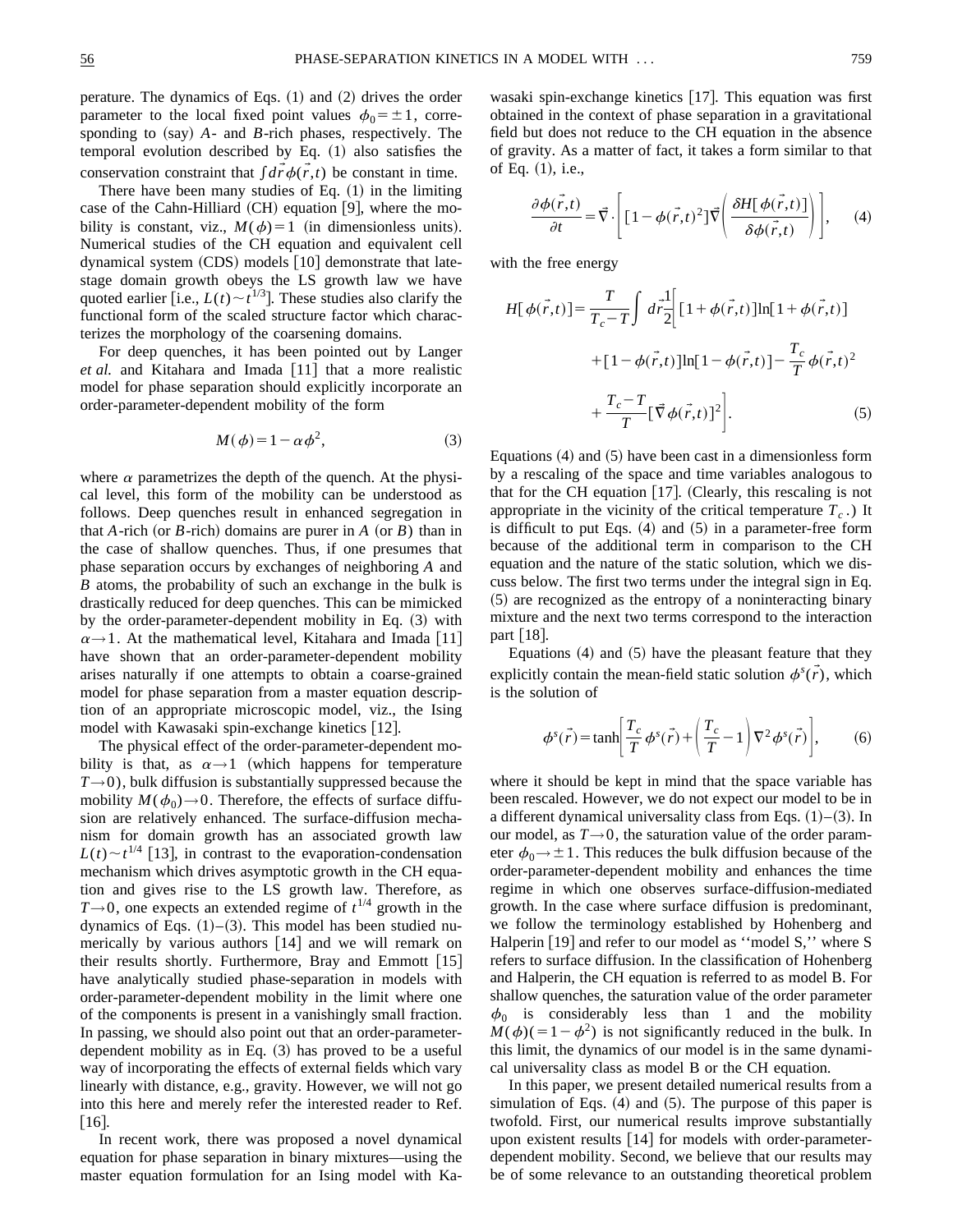perature. The dynamics of Eqs.  $(1)$  and  $(2)$  drives the order parameter to the local fixed point values  $\phi_0 = \pm 1$ , corresponding to  $(say)$   $A$ - and  $B$ -rich phases, respectively. The temporal evolution described by Eq.  $(1)$  also satisfies the conservation constraint that  $\int d\vec{r} \phi(\vec{r},t)$  be constant in time.

There have been many studies of Eq.  $(1)$  in the limiting case of the Cahn-Hilliard  $(CH)$  equation [9], where the mobility is constant, viz.,  $M(\phi)=1$  (in dimensionless units). Numerical studies of the CH equation and equivalent cell dynamical system  $(CDS)$  models  $[10]$  demonstrate that latestage domain growth obeys the LS growth law we have quoted earlier [i.e.,  $L(t) \sim t^{1/3}$ ]. These studies also clarify the functional form of the scaled structure factor which characterizes the morphology of the coarsening domains.

For deep quenches, it has been pointed out by Langer *et al.* and Kitahara and Imada [11] that a more realistic model for phase separation should explicitly incorporate an order-parameter-dependent mobility of the form

$$
M(\phi) = 1 - \alpha \phi^2,\tag{3}
$$

where  $\alpha$  parametrizes the depth of the quench. At the physical level, this form of the mobility can be understood as follows. Deep quenches result in enhanced segregation in that  $A$ -rich (or  $B$ -rich) domains are purer in  $A$  (or  $B$ ) than in the case of shallow quenches. Thus, if one presumes that phase separation occurs by exchanges of neighboring *A* and *B* atoms, the probability of such an exchange in the bulk is drastically reduced for deep quenches. This can be mimicked by the order-parameter-dependent mobility in Eq.  $(3)$  with  $\alpha \rightarrow 1$ . At the mathematical level, Kitahara and Imada [11] have shown that an order-parameter-dependent mobility arises naturally if one attempts to obtain a coarse-grained model for phase separation from a master equation description of an appropriate microscopic model, viz., the Ising model with Kawasaki spin-exchange kinetics  $[12]$ .

The physical effect of the order-parameter-dependent mobility is that, as  $\alpha \rightarrow 1$  (which happens for temperature  $T\rightarrow 0$ ), bulk diffusion is substantially suppressed because the mobility  $M(\phi_0) \rightarrow 0$ . Therefore, the effects of surface diffusion are relatively enhanced. The surface-diffusion mechanism for domain growth has an associated growth law  $L(t) \sim t^{1/4}$  [13], in contrast to the evaporation-condensation mechanism which drives asymptotic growth in the CH equation and gives rise to the LS growth law. Therefore, as  $T\rightarrow 0$ , one expects an extended regime of  $t^{1/4}$  growth in the dynamics of Eqs.  $(1)$ – $(3)$ . This model has been studied numerically by various authors  $[14]$  and we will remark on their results shortly. Furthermore, Bray and Emmott  $[15]$ have analytically studied phase-separation in models with order-parameter-dependent mobility in the limit where one of the components is present in a vanishingly small fraction. In passing, we should also point out that an order-parameterdependent mobility as in Eq.  $(3)$  has proved to be a useful way of incorporating the effects of external fields which vary linearly with distance, e.g., gravity. However, we will not go into this here and merely refer the interested reader to Ref.  $[16]$ .

In recent work, there was proposed a novel dynamical equation for phase separation in binary mixtures—using the master equation formulation for an Ising model with Kawasaki spin-exchange kinetics  $[17]$ . This equation was first obtained in the context of phase separation in a gravitational field but does not reduce to the CH equation in the absence of gravity. As a matter of fact, it takes a form similar to that of Eq.  $(1)$ , i.e.,

$$
\frac{\partial \phi(\vec{r},t)}{\partial t} = \vec{\nabla} \cdot \left[ \left[ 1 - \phi(\vec{r},t)^2 \right] \vec{\nabla} \left( \frac{\partial H[\phi(\vec{r},t)]}{\partial \phi(\vec{r},t)} \right) \right], \quad (4)
$$

with the free energy

$$
H[\phi(\vec{r},t)] = \frac{T}{T_c - T} \int d\vec{r} \frac{1}{2} \Big[ [1 + \phi(\vec{r},t)] \ln[1 + \phi(\vec{r},t)]
$$
  
+ 
$$
[1 - \phi(\vec{r},t)] \ln[1 - \phi(\vec{r},t)] - \frac{T_c}{T} \phi(\vec{r},t)^2
$$
  
+ 
$$
\frac{T_c - T}{T} [\vec{\nabla} \phi(\vec{r},t)]^2 \Big].
$$
 (5)

Equations  $(4)$  and  $(5)$  have been cast in a dimensionless form by a rescaling of the space and time variables analogous to that for the CH equation  $[17]$ . (Clearly, this rescaling is not appropriate in the vicinity of the critical temperature  $T_c$ .) It is difficult to put Eqs.  $(4)$  and  $(5)$  in a parameter-free form because of the additional term in comparison to the CH equation and the nature of the static solution, which we discuss below. The first two terms under the integral sign in Eq.  $(5)$  are recognized as the entropy of a noninteracting binary mixture and the next two terms correspond to the interaction part  $\lceil 18 \rceil$ .

Equations  $(4)$  and  $(5)$  have the pleasant feature that they explicitly contain the mean-field static solution  $\phi^s(\vec{r})$ , which is the solution of

$$
\phi^s(\vec{r}) = \tanh\left[\frac{T_c}{T}\phi^s(\vec{r}) + \left(\frac{T_c}{T} - 1\right)\nabla^2\phi^s(\vec{r})\right],\tag{6}
$$

where it should be kept in mind that the space variable has been rescaled. However, we do not expect our model to be in a different dynamical universality class from Eqs.  $(1)$ – $(3)$ . In our model, as  $T\rightarrow 0$ , the saturation value of the order parameter  $\phi_0 \rightarrow \pm 1$ . This reduces the bulk diffusion because of the order-parameter-dependent mobility and enhances the time regime in which one observes surface-diffusion-mediated growth. In the case where surface diffusion is predominant, we follow the terminology established by Hohenberg and Halperin  $[19]$  and refer to our model as "model S," where S refers to surface diffusion. In the classification of Hohenberg and Halperin, the CH equation is referred to as model B. For shallow quenches, the saturation value of the order parameter  $\phi_0$  is considerably less than 1 and the mobility  $M(\phi)(=1-\phi^2)$  is not significantly reduced in the bulk. In this limit, the dynamics of our model is in the same dynamical universality class as model B or the CH equation.

In this paper, we present detailed numerical results from a simulation of Eqs.  $(4)$  and  $(5)$ . The purpose of this paper is twofold. First, our numerical results improve substantially upon existent results  $[14]$  for models with order-parameterdependent mobility. Second, we believe that our results may be of some relevance to an outstanding theoretical problem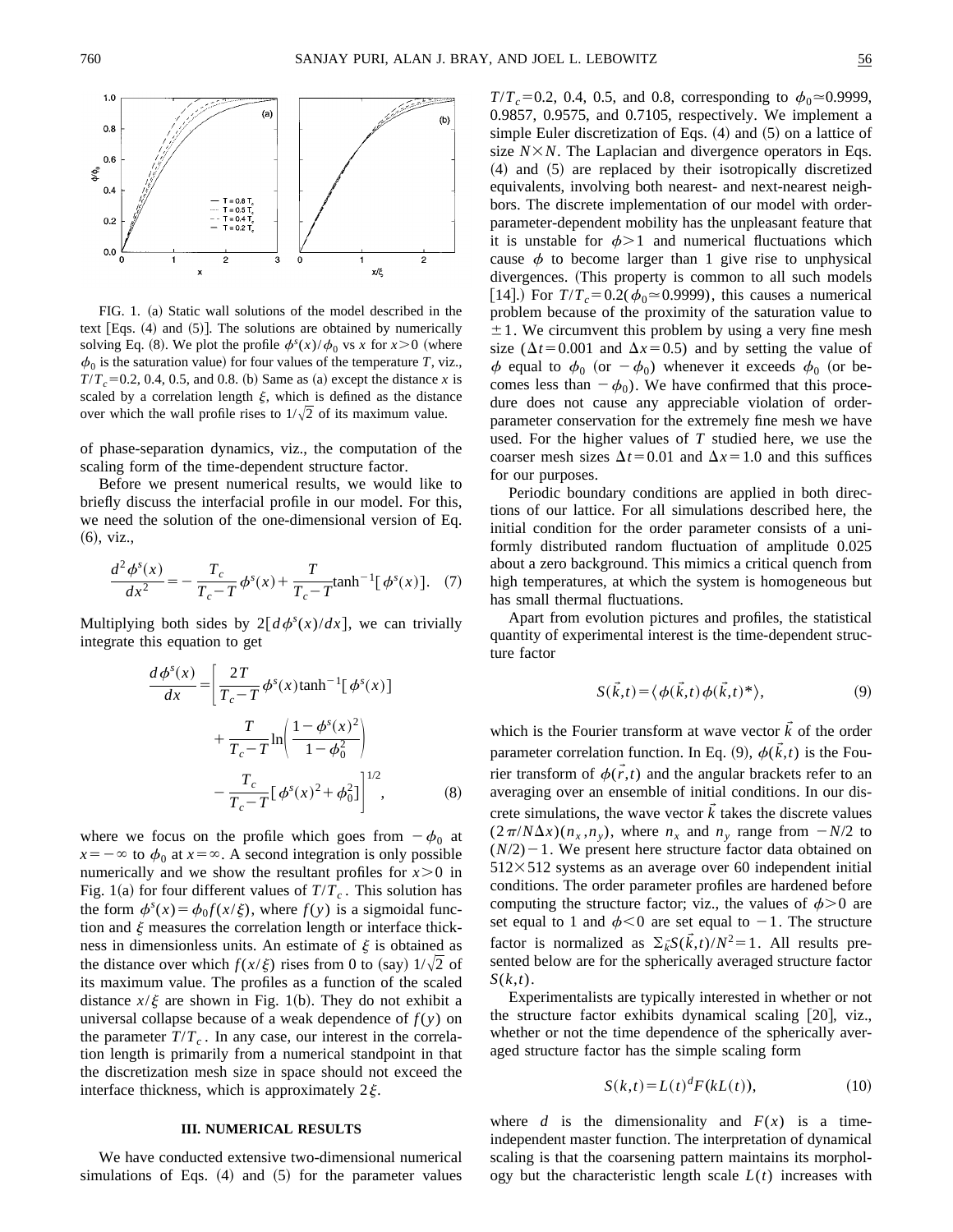

FIG. 1. (a) Static wall solutions of the model described in the text  $[Eqs. (4)$  and  $(5)$ ]. The solutions are obtained by numerically solving Eq. (8). We plot the profile  $\phi^s(x)/\phi_0$  vs *x* for  $x>0$  (where  $\phi_0$  is the saturation value) for four values of the temperature *T*, viz.,  $T/T_c = 0.2, 0.4, 0.5,$  and 0.8. (b) Same as (a) except the distance *x* is scaled by a correlation length  $\xi$ , which is defined as the distance over which the wall profile rises to  $1/\sqrt{2}$  of its maximum value.

of phase-separation dynamics, viz., the computation of the scaling form of the time-dependent structure factor.

Before we present numerical results, we would like to briefly discuss the interfacial profile in our model. For this, we need the solution of the one-dimensional version of Eq.  $(6)$ , viz.,

$$
\frac{d^2\phi^s(x)}{dx^2} = -\frac{T_c}{T_c - T}\phi^s(x) + \frac{T}{T_c - T}\tanh^{-1}[\phi^s(x)].
$$
 (7)

Multiplying both sides by  $2\left[d\phi^{s}(x)/dx\right]$ , we can trivially integrate this equation to get

$$
\frac{d\phi^s(x)}{dx} = \left[\frac{2T}{T_c - T}\phi^s(x)\tanh^{-1}[\phi^s(x)] + \frac{T}{T_c - T}\ln\left(\frac{1 - \phi^s(x)^2}{1 - \phi_0^2}\right) - \frac{T_c}{T_c - T}[\phi^s(x)^2 + \phi_0^2]\right]^{1/2},
$$
\n(8)

where we focus on the profile which goes from  $-\phi_0$  at  $x=-\infty$  to  $\phi_0$  at  $x=\infty$ . A second integration is only possible numerically and we show the resultant profiles for  $x > 0$  in Fig. 1(a) for four different values of  $T/T_c$ . This solution has the form  $\phi^s(x) = \phi_0 f(x/\xi)$ , where  $f(y)$  is a sigmoidal function and  $\xi$  measures the correlation length or interface thickness in dimensionless units. An estimate of  $\xi$  is obtained as the distance over which  $f(x/\xi)$  rises from 0 to (say)  $1/\sqrt{2}$  of its maximum value. The profiles as a function of the scaled distance  $x/\xi$  are shown in Fig. 1(b). They do not exhibit a universal collapse because of a weak dependence of  $f(y)$  on the parameter  $T/T_c$ . In any case, our interest in the correlation length is primarily from a numerical standpoint in that the discretization mesh size in space should not exceed the interface thickness, which is approximately  $2\xi$ .

## **III. NUMERICAL RESULTS**

We have conducted extensive two-dimensional numerical simulations of Eqs.  $(4)$  and  $(5)$  for the parameter values  $T/T_c$ =0.2, 0.4, 0.5, and 0.8, corresponding to  $\phi_0$   $\approx$  0.9999, 0.9857, 0.9575, and 0.7105, respectively. We implement a simple Euler discretization of Eqs.  $(4)$  and  $(5)$  on a lattice of size  $N \times N$ . The Laplacian and divergence operators in Eqs.  $(4)$  and  $(5)$  are replaced by their isotropically discretized equivalents, involving both nearest- and next-nearest neighbors. The discrete implementation of our model with orderparameter-dependent mobility has the unpleasant feature that it is unstable for  $\phi > 1$  and numerical fluctuations which cause  $\phi$  to become larger than 1 give rise to unphysical divergences. (This property is common to all such models [14].) For  $T/T_c = 0.2(\phi_0 \approx 0.9999)$ , this causes a numerical problem because of the proximity of the saturation value to  $\pm$ 1. We circumvent this problem by using a very fine mesh size ( $\Delta t$ =0.001 and  $\Delta x$ =0.5) and by setting the value of  $\phi$  equal to  $\phi_0$  (or  $-\phi_0$ ) whenever it exceeds  $\phi_0$  (or becomes less than  $-\phi_0$ ). We have confirmed that this procedure does not cause any appreciable violation of orderparameter conservation for the extremely fine mesh we have used. For the higher values of *T* studied here, we use the coarser mesh sizes  $\Delta t$ =0.01 and  $\Delta x$ =1.0 and this suffices for our purposes.

Periodic boundary conditions are applied in both directions of our lattice. For all simulations described here, the initial condition for the order parameter consists of a uniformly distributed random fluctuation of amplitude 0.025 about a zero background. This mimics a critical quench from high temperatures, at which the system is homogeneous but has small thermal fluctuations.

Apart from evolution pictures and profiles, the statistical quantity of experimental interest is the time-dependent structure factor

$$
S(\vec{k},t) = \langle \phi(\vec{k},t) \phi(\vec{k},t)^* \rangle, \tag{9}
$$

which is the Fourier transform at wave vector  $\vec{k}$  of the order parameter correlation function. In Eq. (9),  $\phi(\vec{k},t)$  is the Fourier transform of  $\phi(\vec{r},t)$  and the angular brackets refer to an averaging over an ensemble of initial conditions. In our discrete simulations, the wave vector  $k$  takes the discrete values  $(2\pi/N\Delta x)(n_x, n_y)$ , where  $n_x$  and  $n_y$  range from  $-N/2$  to  $(N/2)$  – 1. We present here structure factor data obtained on  $512\times512$  systems as an average over 60 independent initial conditions. The order parameter profiles are hardened before computing the structure factor; viz., the values of  $\phi > 0$  are set equal to 1 and  $\phi$ <0 are set equal to -1. The structure factor is normalized as  $\Sigma_k \tilde{S}(k, t) / N^2 = 1$ . All results presented below are for the spherically averaged structure factor *S*(*k*,*t*).

Experimentalists are typically interested in whether or not the structure factor exhibits dynamical scaling  $[20]$ , viz., whether or not the time dependence of the spherically averaged structure factor has the simple scaling form

$$
S(k,t) = L(t)^d F(kL(t)),
$$
\n(10)

where *d* is the dimensionality and  $F(x)$  is a timeindependent master function. The interpretation of dynamical scaling is that the coarsening pattern maintains its morphology but the characteristic length scale  $L(t)$  increases with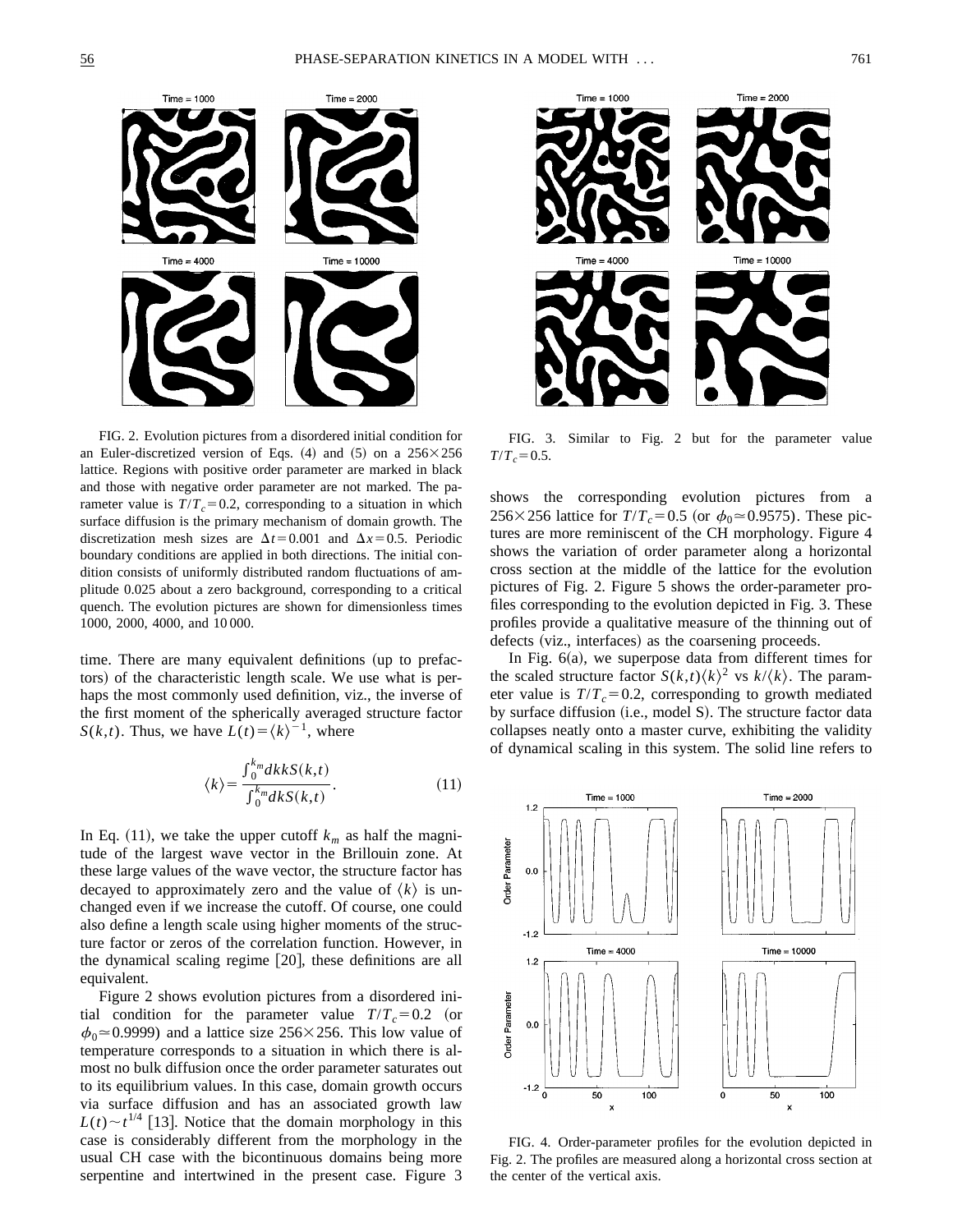

FIG. 2. Evolution pictures from a disordered initial condition for an Euler-discretized version of Eqs.  $(4)$  and  $(5)$  on a  $256\times256$ lattice. Regions with positive order parameter are marked in black and those with negative order parameter are not marked. The parameter value is  $T/T_c = 0.2$ , corresponding to a situation in which surface diffusion is the primary mechanism of domain growth. The discretization mesh sizes are  $\Delta t$ =0.001 and  $\Delta x$ =0.5. Periodic boundary conditions are applied in both directions. The initial condition consists of uniformly distributed random fluctuations of amplitude 0.025 about a zero background, corresponding to a critical quench. The evolution pictures are shown for dimensionless times 1000, 2000, 4000, and 10 000.

time. There are many equivalent definitions (up to prefactors) of the characteristic length scale. We use what is perhaps the most commonly used definition, viz., the inverse of the first moment of the spherically averaged structure factor *S*(*k*,*t*). Thus, we have  $L(t) = \langle k \rangle^{-1}$ , where

$$
\langle k \rangle = \frac{\int_0^{k_m} dk k S(k,t)}{\int_0^{k_m} dk S(k,t)}.
$$
\n(11)

In Eq. (11), we take the upper cutoff  $k_m$  as half the magnitude of the largest wave vector in the Brillouin zone. At these large values of the wave vector, the structure factor has decayed to approximately zero and the value of  $\langle k \rangle$  is unchanged even if we increase the cutoff. Of course, one could also define a length scale using higher moments of the structure factor or zeros of the correlation function. However, in the dynamical scaling regime [20], these definitions are all equivalent.

Figure 2 shows evolution pictures from a disordered initial condition for the parameter value  $T/T_c = 0.2$  (or  $\phi_0 \approx 0.9999$  and a lattice size 256×256. This low value of temperature corresponds to a situation in which there is almost no bulk diffusion once the order parameter saturates out to its equilibrium values. In this case, domain growth occurs via surface diffusion and has an associated growth law  $L(t) \sim t^{1/4}$  [13]. Notice that the domain morphology in this case is considerably different from the morphology in the usual CH case with the bicontinuous domains being more serpentine and intertwined in the present case. Figure 3



FIG. 3. Similar to Fig. 2 but for the parameter value  $T/T_c = 0.5$ .

shows the corresponding evolution pictures from a 256×256 lattice for  $T/T_c$ =0.5 (or  $\phi_0 \approx 0.9575$ ). These pictures are more reminiscent of the CH morphology. Figure 4 shows the variation of order parameter along a horizontal cross section at the middle of the lattice for the evolution pictures of Fig. 2. Figure 5 shows the order-parameter profiles corresponding to the evolution depicted in Fig. 3. These profiles provide a qualitative measure of the thinning out of defects (viz., interfaces) as the coarsening proceeds.

In Fig.  $6(a)$ , we superpose data from different times for the scaled structure factor  $S(k,t)\langle k \rangle^2$  vs  $k/\langle k \rangle$ . The parameter value is  $T/T_c = 0.2$ , corresponding to growth mediated by surface diffusion (i.e., model S). The structure factor data collapses neatly onto a master curve, exhibiting the validity of dynamical scaling in this system. The solid line refers to



FIG. 4. Order-parameter profiles for the evolution depicted in Fig. 2. The profiles are measured along a horizontal cross section at the center of the vertical axis.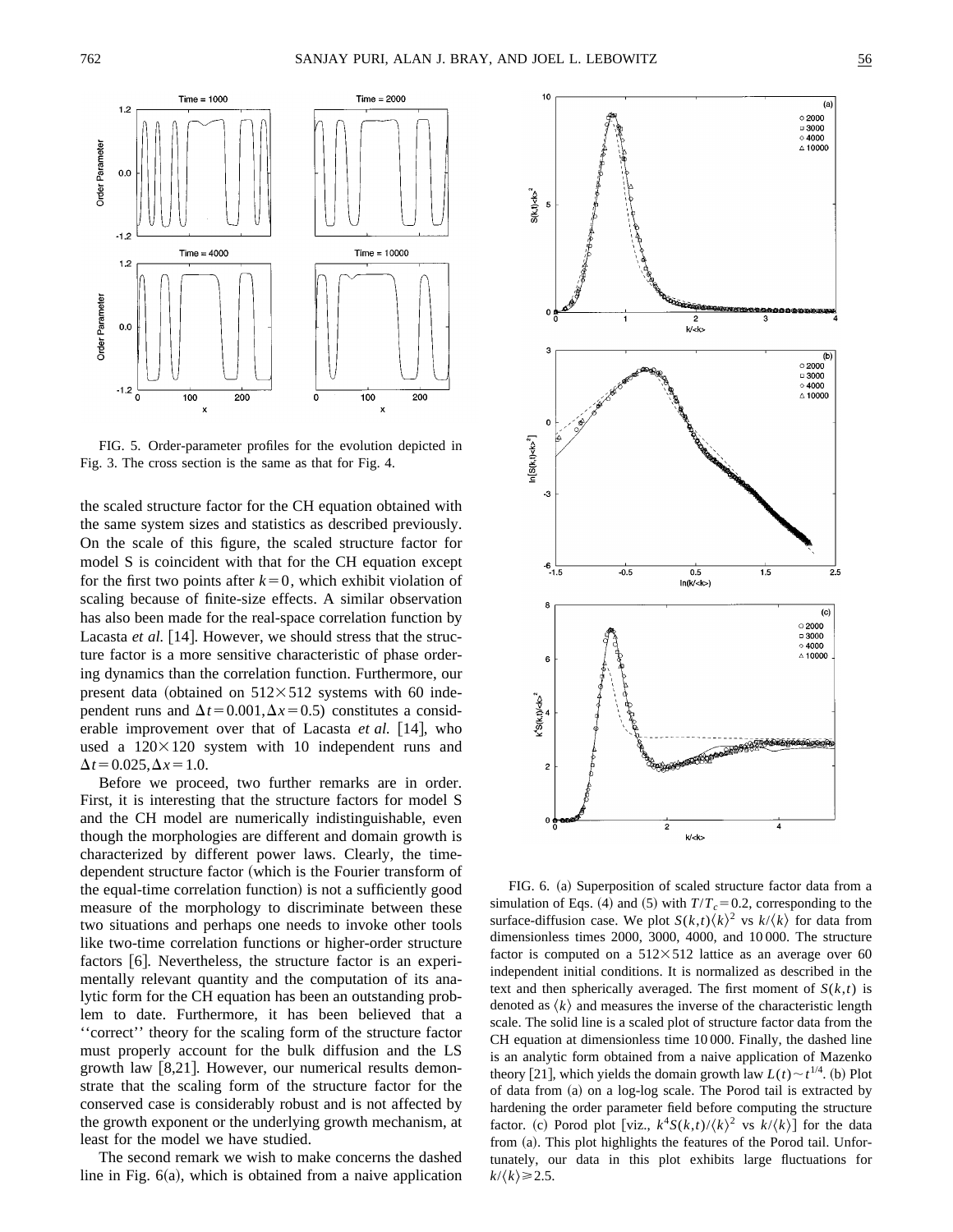



FIG. 5. Order-parameter profiles for the evolution depicted in Fig. 3. The cross section is the same as that for Fig. 4.

the scaled structure factor for the CH equation obtained with the same system sizes and statistics as described previously. On the scale of this figure, the scaled structure factor for model S is coincident with that for the CH equation except for the first two points after  $k=0$ , which exhibit violation of scaling because of finite-size effects. A similar observation has also been made for the real-space correlation function by Lacasta *et al.* [14]. However, we should stress that the structure factor is a more sensitive characteristic of phase ordering dynamics than the correlation function. Furthermore, our present data (obtained on  $512\times512$  systems with 60 independent runs and  $\Delta t$ =0.001, $\Delta x$ =0.5) constitutes a considerable improvement over that of Lacasta *et al.* [14], who used a  $120\times120$  system with 10 independent runs and  $\Delta t = 0.025, \Delta x = 1.0.$ 

Before we proceed, two further remarks are in order. First, it is interesting that the structure factors for model S and the CH model are numerically indistinguishable, even though the morphologies are different and domain growth is characterized by different power laws. Clearly, the timedependent structure factor (which is the Fourier transform of the equal-time correlation function) is not a sufficiently good measure of the morphology to discriminate between these two situations and perhaps one needs to invoke other tools like two-time correlation functions or higher-order structure factors  $[6]$ . Nevertheless, the structure factor is an experimentally relevant quantity and the computation of its analytic form for the CH equation has been an outstanding problem to date. Furthermore, it has been believed that a ''correct'' theory for the scaling form of the structure factor must properly account for the bulk diffusion and the LS growth law  $[8,21]$ . However, our numerical results demonstrate that the scaling form of the structure factor for the conserved case is considerably robust and is not affected by the growth exponent or the underlying growth mechanism, at least for the model we have studied.

The second remark we wish to make concerns the dashed line in Fig.  $6(a)$ , which is obtained from a naive application



FIG. 6. (a) Superposition of scaled structure factor data from a simulation of Eqs. (4) and (5) with  $T/T_c = 0.2$ , corresponding to the surface-diffusion case. We plot  $S(k,t)\langle k \rangle^2$  vs  $k/\langle k \rangle$  for data from dimensionless times 2000, 3000, 4000, and 10 000. The structure factor is computed on a  $512\times512$  lattice as an average over 60 independent initial conditions. It is normalized as described in the text and then spherically averaged. The first moment of  $S(k,t)$  is denoted as  $\langle k \rangle$  and measures the inverse of the characteristic length scale. The solid line is a scaled plot of structure factor data from the CH equation at dimensionless time 10 000. Finally, the dashed line is an analytic form obtained from a naive application of Mazenko theory [21], which yields the domain growth law  $L(t) \sim t^{1/4}$ . (b) Plot of data from  $(a)$  on a log-log scale. The Porod tail is extracted by hardening the order parameter field before computing the structure factor. (c) Porod plot [viz.,  $k^4S(k,t)/\langle k \rangle^2$  vs  $k/\langle k \rangle$ ] for the data from (a). This plot highlights the features of the Porod tail. Unfortunately, our data in this plot exhibits large fluctuations for  $k/\langle k \rangle \ge 2.5$ .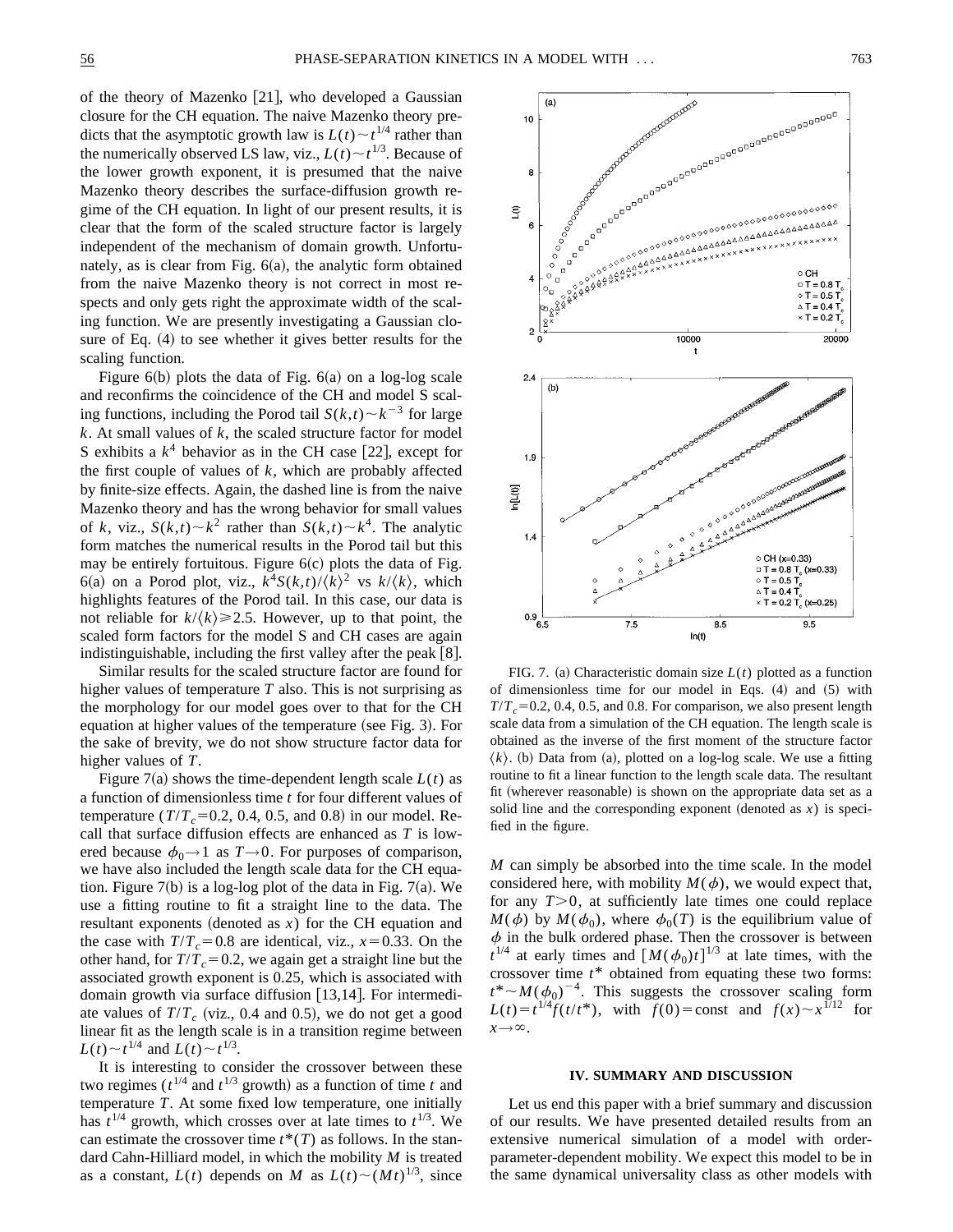of the theory of Mazenko  $|21|$ , who developed a Gaussian closure for the CH equation. The naive Mazenko theory predicts that the asymptotic growth law is  $L(t) \sim t^{1/4}$  rather than the numerically observed LS law, viz.,  $L(t) \sim t^{1/3}$ . Because of the lower growth exponent, it is presumed that the naive Mazenko theory describes the surface-diffusion growth regime of the CH equation. In light of our present results, it is clear that the form of the scaled structure factor is largely independent of the mechanism of domain growth. Unfortunately, as is clear from Fig.  $6(a)$ , the analytic form obtained from the naive Mazenko theory is not correct in most respects and only gets right the approximate width of the scaling function. We are presently investigating a Gaussian closure of Eq.  $(4)$  to see whether it gives better results for the scaling function.

Figure  $6(b)$  plots the data of Fig.  $6(a)$  on a log-log scale and reconfirms the coincidence of the CH and model S scaling functions, including the Porod tail  $S(k,t) \sim k^{-3}$  for large *k*. At small values of *k*, the scaled structure factor for model S exhibits a  $k^4$  behavior as in the CH case [22], except for the first couple of values of *k*, which are probably affected by finite-size effects. Again, the dashed line is from the naive Mazenko theory and has the wrong behavior for small values of *k*, viz.,  $S(k,t) \sim k^2$  rather than  $S(k,t) \sim k^4$ . The analytic form matches the numerical results in the Porod tail but this may be entirely fortuitous. Figure  $6(c)$  plots the data of Fig. 6(a) on a Porod plot, viz.,  $k^4S(k,t)/\langle k \rangle^2$  vs  $k/\langle k \rangle$ , which highlights features of the Porod tail. In this case, our data is not reliable for  $k/\langle k \rangle \ge 2.5$ . However, up to that point, the scaled form factors for the model S and CH cases are again indistinguishable, including the first valley after the peak  $[8]$ .

Similar results for the scaled structure factor are found for higher values of temperature *T* also. This is not surprising as the morphology for our model goes over to that for the CH equation at higher values of the temperature (see Fig. 3). For the sake of brevity, we do not show structure factor data for higher values of *T*.

Figure 7(a) shows the time-dependent length scale  $L(t)$  as a function of dimensionless time *t* for four different values of temperature  $(T/T_c=0.2, 0.4, 0.5,$  and 0.8) in our model. Recall that surface diffusion effects are enhanced as *T* is lowered because  $\phi_0 \rightarrow 1$  as  $T \rightarrow 0$ . For purposes of comparison, we have also included the length scale data for the CH equation. Figure  $7(b)$  is a log-log plot of the data in Fig.  $7(a)$ . We use a fitting routine to fit a straight line to the data. The resultant exponents (denoted as  $x$ ) for the CH equation and the case with  $T/T_c = 0.8$  are identical, viz.,  $x = 0.33$ . On the other hand, for  $T/T_c = 0.2$ , we again get a straight line but the associated growth exponent is 0.25, which is associated with domain growth via surface diffusion  $[13,14]$ . For intermediate values of  $T/T_c$  (viz., 0.4 and 0.5), we do not get a good linear fit as the length scale is in a transition regime between  $L(t) \sim t^{1/4}$  and  $L(t) \sim t^{1/3}$ .

It is interesting to consider the crossover between these two regimes ( $t^{1/4}$  and  $t^{1/3}$  growth) as a function of time *t* and temperature *T*. At some fixed low temperature, one initially has  $t^{1/4}$  growth, which crosses over at late times to  $t^{1/3}$ . We can estimate the crossover time  $t^*(T)$  as follows. In the standard Cahn-Hilliard model, in which the mobility *M* is treated as a constant,  $L(t)$  depends on *M* as  $L(t) \sim (Mt)^{1/3}$ , since



FIG. 7. (a) Characteristic domain size  $L(t)$  plotted as a function of dimensionless time for our model in Eqs.  $(4)$  and  $(5)$  with  $T/T_c$ =0.2, 0.4, 0.5, and 0.8. For comparison, we also present length scale data from a simulation of the CH equation. The length scale is obtained as the inverse of the first moment of the structure factor  $\langle k \rangle$ . (b) Data from (a), plotted on a log-log scale. We use a fitting routine to fit a linear function to the length scale data. The resultant fit (wherever reasonable) is shown on the appropriate data set as a solid line and the corresponding exponent (denoted as  $x$ ) is specified in the figure.

*M* can simply be absorbed into the time scale. In the model considered here, with mobility  $M(\phi)$ , we would expect that, for any  $T>0$ , at sufficiently late times one could replace  $M(\phi)$  by  $M(\phi_0)$ , where  $\phi_0(T)$  is the equilibrium value of  $\phi$  in the bulk ordered phase. Then the crossover is between  $t^{1/4}$  at early times and  $[M(\phi_0)t]^{1/3}$  at late times, with the crossover time *t*\* obtained from equating these two forms:  $t^* \sim M(\phi_0)^{-4}$ . This suggests the crossover scaling form *L*(*t*)= $t^{1/4}f(t/t^*)$ , with  $f(0) = \text{const}$  and  $f(x) \sim x^{1/12}$  for  $x \rightarrow \infty$ .

#### **IV. SUMMARY AND DISCUSSION**

Let us end this paper with a brief summary and discussion of our results. We have presented detailed results from an extensive numerical simulation of a model with orderparameter-dependent mobility. We expect this model to be in the same dynamical universality class as other models with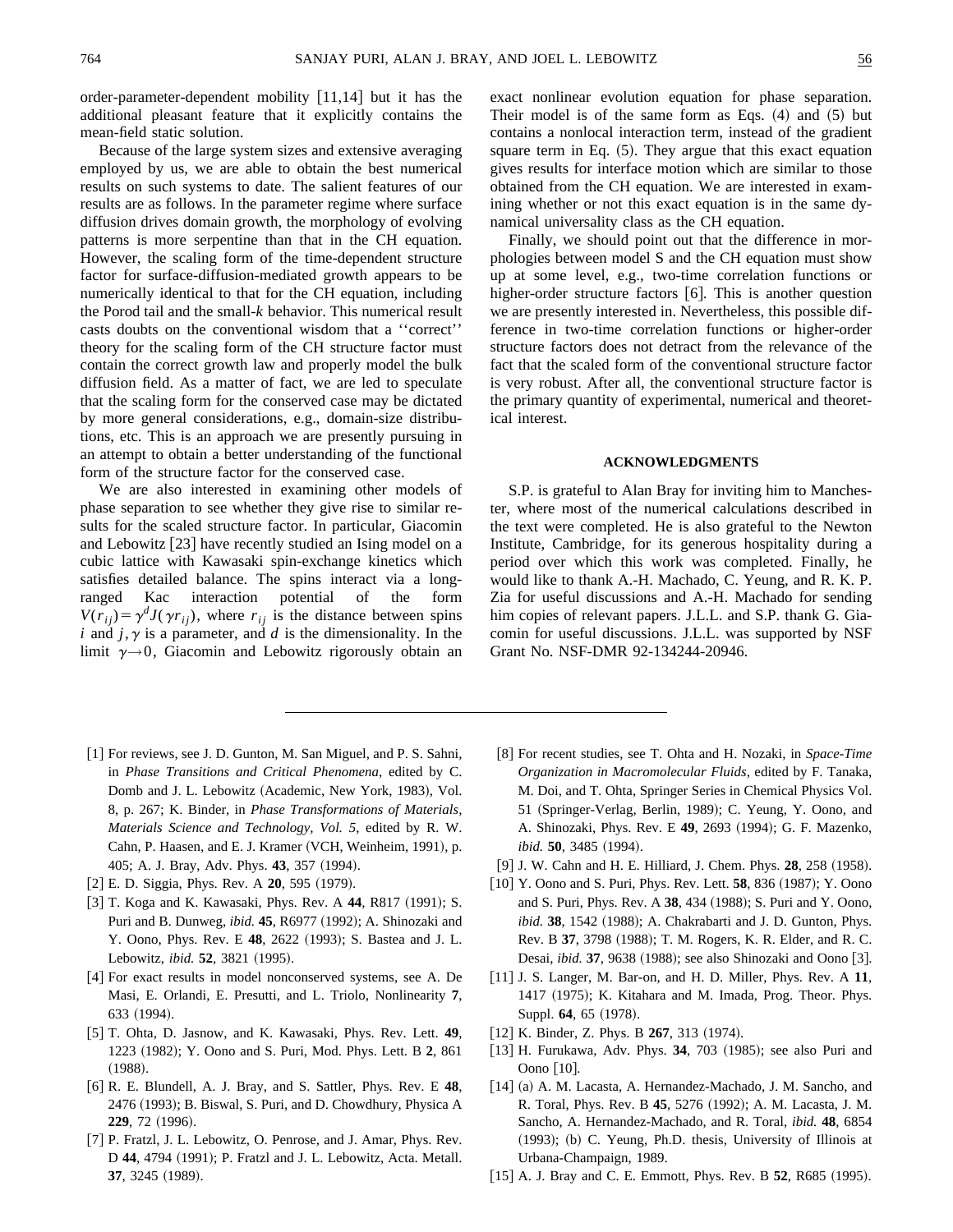Because of the large system sizes and extensive averaging employed by us, we are able to obtain the best numerical results on such systems to date. The salient features of our results are as follows. In the parameter regime where surface diffusion drives domain growth, the morphology of evolving patterns is more serpentine than that in the CH equation. However, the scaling form of the time-dependent structure factor for surface-diffusion-mediated growth appears to be numerically identical to that for the CH equation, including the Porod tail and the small-*k* behavior. This numerical result casts doubts on the conventional wisdom that a ''correct'' theory for the scaling form of the CH structure factor must contain the correct growth law and properly model the bulk diffusion field. As a matter of fact, we are led to speculate that the scaling form for the conserved case may be dictated by more general considerations, e.g., domain-size distributions, etc. This is an approach we are presently pursuing in an attempt to obtain a better understanding of the functional form of the structure factor for the conserved case.

We are also interested in examining other models of phase separation to see whether they give rise to similar results for the scaled structure factor. In particular, Giacomin and Lebowitz  $[23]$  have recently studied an Ising model on a cubic lattice with Kawasaki spin-exchange kinetics which satisfies detailed balance. The spins interact via a longranged Kac interaction potential of the form  $V(r_{ij}) = \gamma^d J(\gamma r_{ij})$ , where  $r_{ij}$  is the distance between spins *i* and  $j, \gamma$  is a parameter, and *d* is the dimensionality. In the limit  $\gamma \rightarrow 0$ , Giacomin and Lebowitz rigorously obtain an

exact nonlinear evolution equation for phase separation. Their model is of the same form as Eqs.  $(4)$  and  $(5)$  but contains a nonlocal interaction term, instead of the gradient square term in Eq.  $(5)$ . They argue that this exact equation gives results for interface motion which are similar to those obtained from the CH equation. We are interested in examining whether or not this exact equation is in the same dynamical universality class as the CH equation.

Finally, we should point out that the difference in morphologies between model S and the CH equation must show up at some level, e.g., two-time correlation functions or higher-order structure factors  $[6]$ . This is another question we are presently interested in. Nevertheless, this possible difference in two-time correlation functions or higher-order structure factors does not detract from the relevance of the fact that the scaled form of the conventional structure factor is very robust. After all, the conventional structure factor is the primary quantity of experimental, numerical and theoretical interest.

## **ACKNOWLEDGMENTS**

S.P. is grateful to Alan Bray for inviting him to Manchester, where most of the numerical calculations described in the text were completed. He is also grateful to the Newton Institute, Cambridge, for its generous hospitality during a period over which this work was completed. Finally, he would like to thank A.-H. Machado, C. Yeung, and R. K. P. Zia for useful discussions and A.-H. Machado for sending him copies of relevant papers. J.L.L. and S.P. thank G. Giacomin for useful discussions. J.L.L. was supported by NSF Grant No. NSF-DMR 92-134244-20946.

- [1] For reviews, see J. D. Gunton, M. San Miguel, and P. S. Sahni, in *Phase Transitions and Critical Phenomena*, edited by C. Domb and J. L. Lebowitz (Academic, New York, 1983), Vol. 8, p. 267; K. Binder, in *Phase Transformations of Materials, Materials Science and Technology, Vol. 5*, edited by R. W. Cahn, P. Haasen, and E. J. Kramer (VCH, Weinheim, 1991), p. 405; A. J. Bray, Adv. Phys. **43**, 357 (1994).
- [2] E. D. Siggia, Phys. Rev. A **20**, 595 (1979).
- [3] T. Koga and K. Kawasaki, Phys. Rev. A 44, R817 (1991); S. Puri and B. Dunweg, *ibid.* 45, R6977 (1992); A. Shinozaki and Y. Oono, Phys. Rev. E 48, 2622 (1993); S. Bastea and J. L. Lebowitz, *ibid.* **52**, 3821 (1995).
- [4] For exact results in model nonconserved systems, see A. De Masi, E. Orlandi, E. Presutti, and L. Triolo, Nonlinearity **7**, 633 (1994).
- @5# T. Ohta, D. Jasnow, and K. Kawasaki, Phys. Rev. Lett. **49**, 1223 (1982); Y. Oono and S. Puri, Mod. Phys. Lett. B 2, 861  $(1988).$
- @6# R. E. Blundell, A. J. Bray, and S. Sattler, Phys. Rev. E **48**, 2476 (1993); B. Biswal, S. Puri, and D. Chowdhury, Physica A **229**, 72 (1996).
- [7] P. Fratzl, J. L. Lebowitz, O. Penrose, and J. Amar, Phys. Rev. D 44, 4794 (1991); P. Fratzl and J. L. Lebowitz, Acta. Metall. 37, 3245 (1989).
- [8] For recent studies, see T. Ohta and H. Nozaki, in *Space-Time Organization in Macromolecular Fluids*, edited by F. Tanaka, M. Doi, and T. Ohta, Springer Series in Chemical Physics Vol. 51 (Springer-Verlag, Berlin, 1989); C. Yeung, Y. Oono, and A. Shinozaki, Phys. Rev. E 49, 2693 (1994); G. F. Mazenko, *ibid.* **50**, 3485 (1994).
- [9] J. W. Cahn and H. E. Hilliard, J. Chem. Phys. **28**, 258 (1958).
- [10] Y. Oono and S. Puri, Phys. Rev. Lett. **58**, 836 (1987); Y. Oono and S. Puri, Phys. Rev. A 38, 434 (1988); S. Puri and Y. Oono, *ibid.* 38, 1542 (1988); A. Chakrabarti and J. D. Gunton, Phys. Rev. B 37, 3798 (1988); T. M. Rogers, K. R. Elder, and R. C. Desai, *ibid.* 37, 9638 (1988); see also Shinozaki and Oono [3].
- [11] J. S. Langer, M. Bar-on, and H. D. Miller, Phys. Rev. A 11, 1417 (1975); K. Kitahara and M. Imada, Prog. Theor. Phys. Suppl. **64**, 65 (1978).
- $[12]$  K. Binder, Z. Phys. B  $267$ , 313  $(1974)$ .
- [13] H. Furukawa, Adv. Phys. 34, 703 (1985); see also Puri and Oono  $[10]$ .
- $[14]$  (a) A. M. Lacasta, A. Hernandez-Machado, J. M. Sancho, and R. Toral, Phys. Rev. B 45, 5276 (1992); A. M. Lacasta, J. M. Sancho, A. Hernandez-Machado, and R. Toral, *ibid.* **48**, 6854  $(1993)$ ; (b) C. Yeung, Ph.D. thesis, University of Illinois at Urbana-Champaign, 1989.
- [15] A. J. Bray and C. E. Emmott, Phys. Rev. B **52**, R685 (1995).